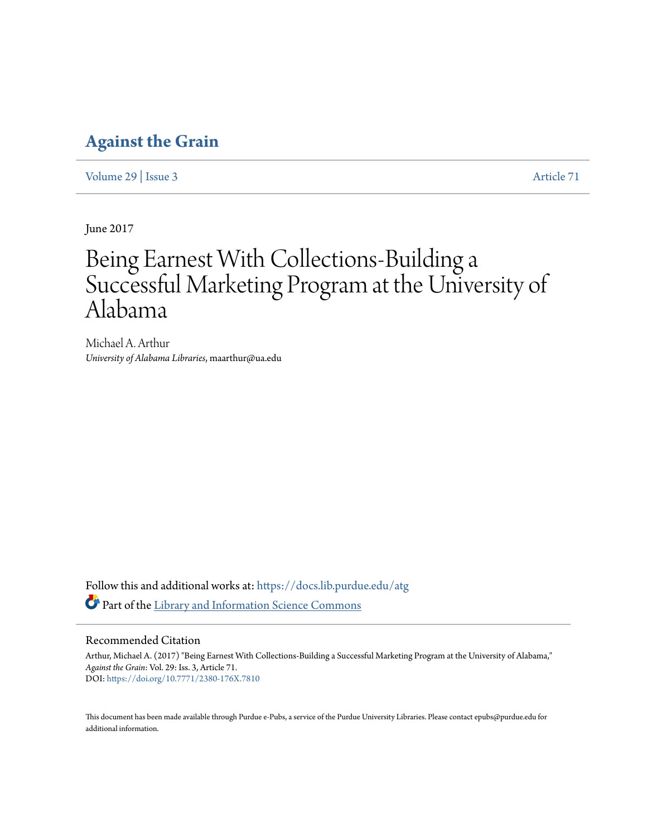## **[Against the Grain](https://docs.lib.purdue.edu/atg?utm_source=docs.lib.purdue.edu%2Fatg%2Fvol29%2Fiss3%2F71&utm_medium=PDF&utm_campaign=PDFCoverPages)**

[Volume 29](https://docs.lib.purdue.edu/atg/vol29?utm_source=docs.lib.purdue.edu%2Fatg%2Fvol29%2Fiss3%2F71&utm_medium=PDF&utm_campaign=PDFCoverPages) | [Issue 3](https://docs.lib.purdue.edu/atg/vol29/iss3?utm_source=docs.lib.purdue.edu%2Fatg%2Fvol29%2Fiss3%2F71&utm_medium=PDF&utm_campaign=PDFCoverPages) [Article 71](https://docs.lib.purdue.edu/atg/vol29/iss3/71?utm_source=docs.lib.purdue.edu%2Fatg%2Fvol29%2Fiss3%2F71&utm_medium=PDF&utm_campaign=PDFCoverPages)

June 2017

# Being Earnest With Collections-Building a Successful Marketing Program at the University of Alabama

Michael A. Arthur *University of Alabama Libraries*, maarthur@ua.edu

Follow this and additional works at: [https://docs.lib.purdue.edu/atg](https://docs.lib.purdue.edu/atg?utm_source=docs.lib.purdue.edu%2Fatg%2Fvol29%2Fiss3%2F71&utm_medium=PDF&utm_campaign=PDFCoverPages) Part of the [Library and Information Science Commons](http://network.bepress.com/hgg/discipline/1018?utm_source=docs.lib.purdue.edu%2Fatg%2Fvol29%2Fiss3%2F71&utm_medium=PDF&utm_campaign=PDFCoverPages)

## Recommended Citation

Arthur, Michael A. (2017) "Being Earnest With Collections-Building a Successful Marketing Program at the University of Alabama," *Against the Grain*: Vol. 29: Iss. 3, Article 71. DOI: <https://doi.org/10.7771/2380-176X.7810>

This document has been made available through Purdue e-Pubs, a service of the Purdue University Libraries. Please contact epubs@purdue.edu for additional information.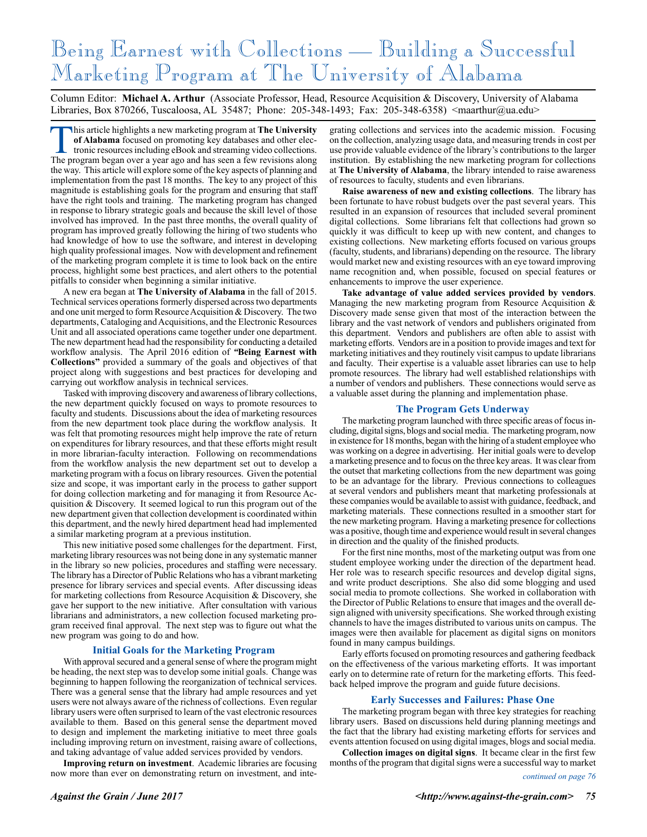# Being Earnest with Collections — Building a Successful Marketing Program at The University of Alabama

Column Editor: **Michael A. Arthur** (Associate Professor, Head, Resource Acquisition & Discovery, University of Alabama Libraries, Box 870266, Tuscaloosa, AL 35487; Phone: 205-348-1493; Fax: 205-348-6358) <maarthur@ua.edu>

This article highlights a new marketing program at **The University**<br>of **Alabama** focused on promoting key databases and other electronic resources including eBook and streaming video collections.<br>The program began over a y **of Alabama** focused on promoting key databases and other electronic resources including eBook and streaming video collections. The program began over a year ago and has seen a few revisions along the way. This article will explore some of the key aspects of planning and implementation from the past 18 months. The key to any project of this magnitude is establishing goals for the program and ensuring that staff have the right tools and training. The marketing program has changed in response to library strategic goals and because the skill level of those involved has improved. In the past three months, the overall quality of program has improved greatly following the hiring of two students who had knowledge of how to use the software, and interest in developing high quality professional images. Now with development and refinement of the marketing program complete it is time to look back on the entire process, highlight some best practices, and alert others to the potential pitfalls to consider when beginning a similar initiative.

A new era began at **The University of Alabama** in the fall of 2015. Technical services operations formerly dispersed across two departments and one unit merged to form Resource Acquisition & Discovery. The two departments, Cataloging and Acquisitions, and the Electronic Resources Unit and all associated operations came together under one department. The new department head had the responsibility for conducting a detailed workflow analysis. The April 2016 edition of *"***Being Earnest with Collections"** provided a summary of the goals and objectives of that project along with suggestions and best practices for developing and carrying out workflow analysis in technical services.

Tasked with improving discovery and awareness of library collections, the new department quickly focused on ways to promote resources to faculty and students. Discussions about the idea of marketing resources from the new department took place during the workflow analysis. It was felt that promoting resources might help improve the rate of return on expenditures for library resources, and that these efforts might result in more librarian-faculty interaction. Following on recommendations from the workflow analysis the new department set out to develop a marketing program with a focus on library resources. Given the potential size and scope, it was important early in the process to gather support for doing collection marketing and for managing it from Resource Acquisition & Discovery. It seemed logical to run this program out of the new department given that collection development is coordinated within this department, and the newly hired department head had implemented a similar marketing program at a previous institution.

This new initiative posed some challenges for the department. First, marketing library resources was not being done in any systematic manner in the library so new policies, procedures and staffing were necessary. The library has a Director of Public Relations who has a vibrant marketing presence for library services and special events. After discussing ideas for marketing collections from Resource Acquisition & Discovery, she gave her support to the new initiative. After consultation with various librarians and administrators, a new collection focused marketing program received final approval. The next step was to figure out what the new program was going to do and how.

#### **Initial Goals for the Marketing Program**

With approval secured and a general sense of where the program might be heading, the next step was to develop some initial goals. Change was beginning to happen following the reorganization of technical services. There was a general sense that the library had ample resources and yet users were not always aware of the richness of collections. Even regular library users were often surprised to learn of the vast electronic resources available to them. Based on this general sense the department moved to design and implement the marketing initiative to meet three goals including improving return on investment, raising aware of collections, and taking advantage of value added services provided by vendors.

**Improving return on investment**. Academic libraries are focusing now more than ever on demonstrating return on investment, and inte-

grating collections and services into the academic mission. Focusing on the collection, analyzing usage data, and measuring trends in cost per use provide valuable evidence of the library's contributions to the larger institution. By establishing the new marketing program for collections at **The University of Alabama**, the library intended to raise awareness of resources to faculty, students and even librarians.

**Raise awareness of new and existing collections**. The library has been fortunate to have robust budgets over the past several years. This resulted in an expansion of resources that included several prominent digital collections. Some librarians felt that collections had grown so quickly it was difficult to keep up with new content, and changes to existing collections. New marketing efforts focused on various groups (faculty, students, and librarians) depending on the resource. The library would market new and existing resources with an eye toward improving name recognition and, when possible, focused on special features or enhancements to improve the user experience.

**Take advantage of value added services provided by vendors**. Managing the new marketing program from Resource Acquisition & Discovery made sense given that most of the interaction between the library and the vast network of vendors and publishers originated from this department. Vendors and publishers are often able to assist with marketing efforts. Vendors are in a position to provide images and text for marketing initiatives and they routinely visit campus to update librarians and faculty. Their expertise is a valuable asset libraries can use to help promote resources. The library had well established relationships with a number of vendors and publishers. These connections would serve as a valuable asset during the planning and implementation phase.

#### **The Program Gets Underway**

The marketing program launched with three specific areas of focus including, digital signs, blogs and social media. The marketing program, now in existence for 18 months, began with the hiring of a student employee who was working on a degree in advertising. Her initial goals were to develop a marketing presence and to focus on the three key areas. It was clear from the outset that marketing collections from the new department was going to be an advantage for the library. Previous connections to colleagues at several vendors and publishers meant that marketing professionals at these companies would be available to assist with guidance, feedback, and marketing materials. These connections resulted in a smoother start for the new marketing program. Having a marketing presence for collections was a positive, though time and experience would result in several changes in direction and the quality of the finished products.

For the first nine months, most of the marketing output was from one student employee working under the direction of the department head. Her role was to research specific resources and develop digital signs, and write product descriptions. She also did some blogging and used social media to promote collections. She worked in collaboration with the Director of Public Relations to ensure that images and the overall design aligned with university specifications. She worked through existing channels to have the images distributed to various units on campus. The images were then available for placement as digital signs on monitors found in many campus buildings.

Early efforts focused on promoting resources and gathering feedback on the effectiveness of the various marketing efforts. It was important early on to determine rate of return for the marketing efforts. This feedback helped improve the program and guide future decisions.

#### **Early Successes and Failures: Phase One**

The marketing program began with three key strategies for reaching library users. Based on discussions held during planning meetings and the fact that the library had existing marketing efforts for services and events attention focused on using digital images, blogs and social media.

**Collection images on digital signs**. It became clear in the first few months of the program that digital signs were a successful way to market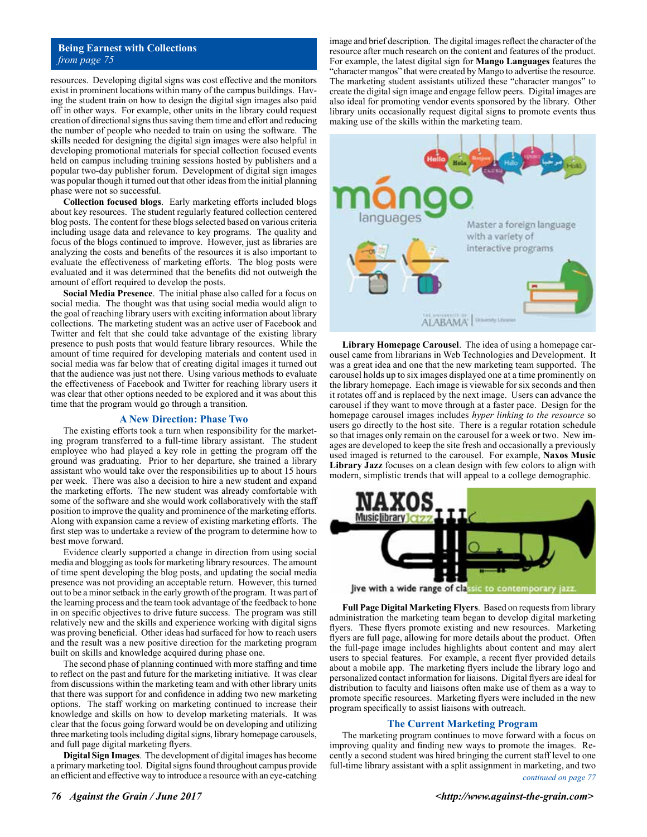### **Being Earnest with Collections** *from page 75*

resources. Developing digital signs was cost effective and the monitors exist in prominent locations within many of the campus buildings. Having the student train on how to design the digital sign images also paid off in other ways. For example, other units in the library could request creation of directional signs thus saving them time and effort and reducing the number of people who needed to train on using the software. The skills needed for designing the digital sign images were also helpful in developing promotional materials for special collection focused events held on campus including training sessions hosted by publishers and a popular two-day publisher forum. Development of digital sign images was popular though it turned out that other ideas from the initial planning phase were not so successful.

**Collection focused blogs**. Early marketing efforts included blogs about key resources. The student regularly featured collection centered blog posts. The content for these blogs selected based on various criteria including usage data and relevance to key programs. The quality and focus of the blogs continued to improve. However, just as libraries are analyzing the costs and benefits of the resources it is also important to evaluate the effectiveness of marketing efforts. The blog posts were evaluated and it was determined that the benefits did not outweigh the amount of effort required to develop the posts.

**Social Media Presence**. The initial phase also called for a focus on social media. The thought was that using social media would align to the goal of reaching library users with exciting information about library collections. The marketing student was an active user of Facebook and Twitter and felt that she could take advantage of the existing library presence to push posts that would feature library resources. While the amount of time required for developing materials and content used in social media was far below that of creating digital images it turned out that the audience was just not there. Using various methods to evaluate the effectiveness of Facebook and Twitter for reaching library users it was clear that other options needed to be explored and it was about this time that the program would go through a transition.

#### **A New Direction: Phase Two**

The existing efforts took a turn when responsibility for the marketing program transferred to a full-time library assistant. The student employee who had played a key role in getting the program off the ground was graduating. Prior to her departure, she trained a library assistant who would take over the responsibilities up to about 15 hours per week. There was also a decision to hire a new student and expand the marketing efforts. The new student was already comfortable with some of the software and she would work collaboratively with the staff position to improve the quality and prominence of the marketing efforts. Along with expansion came a review of existing marketing efforts. The first step was to undertake a review of the program to determine how to best move forward.

Evidence clearly supported a change in direction from using social media and blogging as tools for marketing library resources. The amount of time spent developing the blog posts, and updating the social media presence was not providing an acceptable return. However, this turned out to be a minor setback in the early growth of the program. It was part of the learning process and the team took advantage of the feedback to hone in on specific objectives to drive future success. The program was still relatively new and the skills and experience working with digital signs was proving beneficial. Other ideas had surfaced for how to reach users and the result was a new positive direction for the marketing program built on skills and knowledge acquired during phase one.

The second phase of planning continued with more staffing and time to reflect on the past and future for the marketing initiative. It was clear from discussions within the marketing team and with other library units that there was support for and confidence in adding two new marketing options. The staff working on marketing continued to increase their knowledge and skills on how to develop marketing materials. It was clear that the focus going forward would be on developing and utilizing three marketing tools including digital signs, library homepage carousels, and full page digital marketing flyers.

**Digital Sign Images**. The development of digital images has become a primary marketing tool. Digital signs found throughout campus provide an efficient and effective way to introduce a resource with an eye-catching

image and brief description. The digital images reflect the character of the resource after much research on the content and features of the product. For example, the latest digital sign for **Mango Languages** features the "character mangos" that were created by Mango to advertise the resource. The marketing student assistants utilized these "character mangos" to create the digital sign image and engage fellow peers. Digital images are also ideal for promoting vendor events sponsored by the library. Other library units occasionally request digital signs to promote events thus making use of the skills within the marketing team.



**Library Homepage Carousel**. The idea of using a homepage carousel came from librarians in Web Technologies and Development. It was a great idea and one that the new marketing team supported. The carousel holds up to six images displayed one at a time prominently on the library homepage. Each image is viewable for six seconds and then it rotates off and is replaced by the next image. Users can advance the carousel if they want to move through at a faster pace. Design for the homepage carousel images includes *hyper linking to the resource* so users go directly to the host site. There is a regular rotation schedule so that images only remain on the carousel for a week or two. New images are developed to keep the site fresh and occasionally a previously used imaged is returned to the carousel. For example, **Naxos Music Library Jazz** focuses on a clean design with few colors to align with modern, simplistic trends that will appeal to a college demographic.



live with a wide range of classic to contemporary jazz

**Full Page Digital Marketing Flyers**. Based on requests from library administration the marketing team began to develop digital marketing flyers. These flyers promote existing and new resources. Marketing flyers are full page, allowing for more details about the product. Often the full-page image includes highlights about content and may alert users to special features. For example, a recent flyer provided details about a mobile app. The marketing flyers include the library logo and personalized contact information for liaisons. Digital flyers are ideal for distribution to faculty and liaisons often make use of them as a way to promote specific resources. Marketing flyers were included in the new program specifically to assist liaisons with outreach.

#### **The Current Marketing Program**

The marketing program continues to move forward with a focus on improving quality and finding new ways to promote the images. Recently a second student was hired bringing the current staff level to one full-time library assistant with a split assignment in marketing, and two *continued on page 77*